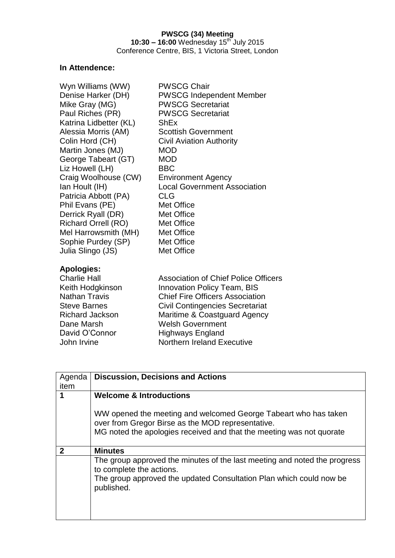# **In Attendence:**

| Wyn Williams (WW)      | <b>PWSCG Chair</b>                  |
|------------------------|-------------------------------------|
| Denise Harker (DH)     | <b>PWSCG Independent Member</b>     |
| Mike Gray (MG)         | <b>PWSCG Secretariat</b>            |
| Paul Riches (PR)       | <b>PWSCG Secretariat</b>            |
| Katrina Lidbetter (KL) | ShEx                                |
| Alessia Morris (AM)    | <b>Scottish Government</b>          |
| Colin Hord (CH)        | <b>Civil Aviation Authority</b>     |
| Martin Jones (MJ)      | MOD                                 |
| George Tabeart (GT)    | MOD                                 |
| Liz Howell (LH)        | BBC                                 |
| Craig Woolhouse (CW)   | <b>Environment Agency</b>           |
| Ian Hoult (IH)         | <b>Local Government Association</b> |
| Patricia Abbott (PA)   | <b>CLG</b>                          |
| Phil Evans (PE)        | Met Office                          |
| Derrick Ryall (DR)     | Met Office                          |
| Richard Orrell (RO)    | Met Office                          |
| Mel Harrowsmith (MH)   | Met Office                          |
| Sophie Purdey (SP)     | Met Office                          |
| Julia Slingo (JS)      | Met Office                          |
| Anologiae:             |                                     |

## **Apologies:**

David O'Connor Highways England<br>John Irvine Morthern Ireland Ex

Charlie Hall Association of Chief Police Officers Keith Hodgkinson Innovation Policy Team, BIS<br>
Nathan Travis Chief Fire Officers Association Chief Fire Officers Association Steve Barnes **Civil Contingencies Secretariat** Richard Jackson Maritime & Coastguard Agency Dane Marsh Welsh Government Northern Ireland Executive

| Agenda | <b>Discussion, Decisions and Actions</b>                                                                                                                                                     |  |
|--------|----------------------------------------------------------------------------------------------------------------------------------------------------------------------------------------------|--|
| item   |                                                                                                                                                                                              |  |
| 1      | <b>Welcome &amp; Introductions</b>                                                                                                                                                           |  |
|        | WW opened the meeting and welcomed George Tabeart who has taken<br>over from Gregor Birse as the MOD representative.<br>MG noted the apologies received and that the meeting was not quorate |  |
| 2      | <b>Minutes</b>                                                                                                                                                                               |  |
|        | The group approved the minutes of the last meeting and noted the progress<br>to complete the actions.<br>The group approved the updated Consultation Plan which could now be<br>published.   |  |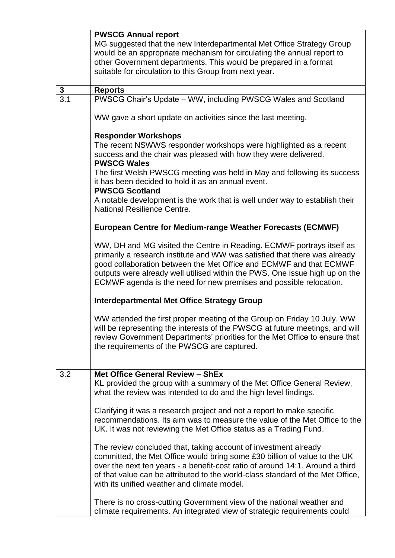|                                                                             | <b>PWSCG Annual report</b>                                                                                                                              |  |  |  |
|-----------------------------------------------------------------------------|---------------------------------------------------------------------------------------------------------------------------------------------------------|--|--|--|
|                                                                             | MG suggested that the new Interdepartmental Met Office Strategy Group                                                                                   |  |  |  |
|                                                                             | would be an appropriate mechanism for circulating the annual report to                                                                                  |  |  |  |
|                                                                             | other Government departments. This would be prepared in a format                                                                                        |  |  |  |
|                                                                             | suitable for circulation to this Group from next year.                                                                                                  |  |  |  |
|                                                                             |                                                                                                                                                         |  |  |  |
| $\mathbf{3}$                                                                | <b>Reports</b>                                                                                                                                          |  |  |  |
| $\overline{3.1}$                                                            | PWSCG Chair's Update - WW, including PWSCG Wales and Scotland                                                                                           |  |  |  |
|                                                                             | WW gave a short update on activities since the last meeting.                                                                                            |  |  |  |
|                                                                             | <b>Responder Workshops</b>                                                                                                                              |  |  |  |
|                                                                             | The recent NSWWS responder workshops were highlighted as a recent                                                                                       |  |  |  |
|                                                                             | success and the chair was pleased with how they were delivered.                                                                                         |  |  |  |
|                                                                             | <b>PWSCG Wales</b>                                                                                                                                      |  |  |  |
|                                                                             | The first Welsh PWSCG meeting was held in May and following its success                                                                                 |  |  |  |
|                                                                             | it has been decided to hold it as an annual event.                                                                                                      |  |  |  |
|                                                                             | <b>PWSCG Scotland</b>                                                                                                                                   |  |  |  |
|                                                                             | A notable development is the work that is well under way to establish their                                                                             |  |  |  |
|                                                                             | National Resilience Centre.                                                                                                                             |  |  |  |
|                                                                             |                                                                                                                                                         |  |  |  |
|                                                                             | <b>European Centre for Medium-range Weather Forecasts (ECMWF)</b>                                                                                       |  |  |  |
|                                                                             | WW, DH and MG visited the Centre in Reading. ECMWF portrays itself as                                                                                   |  |  |  |
|                                                                             | primarily a research institute and WW was satisfied that there was already                                                                              |  |  |  |
|                                                                             | good collaboration between the Met Office and ECMWF and that ECMWF                                                                                      |  |  |  |
| outputs were already well utilised within the PWS. One issue high up on the |                                                                                                                                                         |  |  |  |
|                                                                             | ECMWF agenda is the need for new premises and possible relocation.                                                                                      |  |  |  |
|                                                                             | <b>Interdepartmental Met Office Strategy Group</b>                                                                                                      |  |  |  |
|                                                                             |                                                                                                                                                         |  |  |  |
|                                                                             | WW attended the first proper meeting of the Group on Friday 10 July. WW<br>will be representing the interests of the PWSCG at future meetings, and will |  |  |  |
|                                                                             | review Government Departments' priorities for the Met Office to ensure that                                                                             |  |  |  |
|                                                                             | the requirements of the PWSCG are captured.                                                                                                             |  |  |  |
|                                                                             |                                                                                                                                                         |  |  |  |
|                                                                             |                                                                                                                                                         |  |  |  |
| 3.2                                                                         | Met Office General Review - ShEx                                                                                                                        |  |  |  |
|                                                                             | KL provided the group with a summary of the Met Office General Review,                                                                                  |  |  |  |
|                                                                             | what the review was intended to do and the high level findings.                                                                                         |  |  |  |
|                                                                             |                                                                                                                                                         |  |  |  |
|                                                                             | Clarifying it was a research project and not a report to make specific<br>recommendations. Its aim was to measure the value of the Met Office to the    |  |  |  |
|                                                                             | UK. It was not reviewing the Met Office status as a Trading Fund.                                                                                       |  |  |  |
|                                                                             |                                                                                                                                                         |  |  |  |
|                                                                             | The review concluded that, taking account of investment already                                                                                         |  |  |  |
|                                                                             | committed, the Met Office would bring some £30 billion of value to the UK                                                                               |  |  |  |
|                                                                             | over the next ten years - a benefit-cost ratio of around 14:1. Around a third                                                                           |  |  |  |
|                                                                             | of that value can be attributed to the world-class standard of the Met Office,                                                                          |  |  |  |
|                                                                             | with its unified weather and climate model.                                                                                                             |  |  |  |
|                                                                             |                                                                                                                                                         |  |  |  |
|                                                                             | There is no cross-cutting Government view of the national weather and                                                                                   |  |  |  |
|                                                                             | climate requirements. An integrated view of strategic requirements could                                                                                |  |  |  |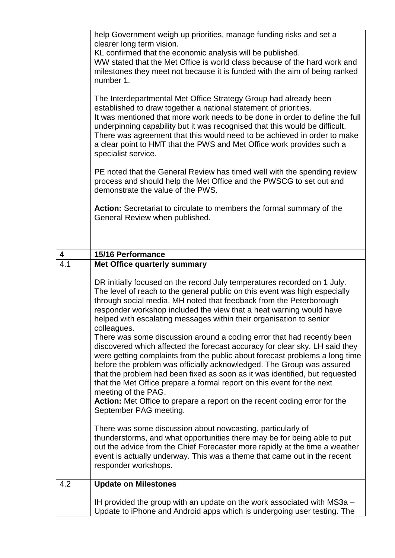|     | help Government weigh up priorities, manage funding risks and set a<br>clearer long term vision.<br>KL confirmed that the economic analysis will be published.<br>WW stated that the Met Office is world class because of the hard work and<br>milestones they meet not because it is funded with the aim of being ranked<br>number 1.<br>The Interdepartmental Met Office Strategy Group had already been                                                                                                                                                                                                                                                                                                                                                                                                                                                                                                                                                                                        |  |  |  |
|-----|---------------------------------------------------------------------------------------------------------------------------------------------------------------------------------------------------------------------------------------------------------------------------------------------------------------------------------------------------------------------------------------------------------------------------------------------------------------------------------------------------------------------------------------------------------------------------------------------------------------------------------------------------------------------------------------------------------------------------------------------------------------------------------------------------------------------------------------------------------------------------------------------------------------------------------------------------------------------------------------------------|--|--|--|
|     | established to draw together a national statement of priorities.<br>It was mentioned that more work needs to be done in order to define the full<br>underpinning capability but it was recognised that this would be difficult.<br>There was agreement that this would need to be achieved in order to make<br>a clear point to HMT that the PWS and Met Office work provides such a<br>specialist service.                                                                                                                                                                                                                                                                                                                                                                                                                                                                                                                                                                                       |  |  |  |
|     | PE noted that the General Review has timed well with the spending review<br>process and should help the Met Office and the PWSCG to set out and<br>demonstrate the value of the PWS.                                                                                                                                                                                                                                                                                                                                                                                                                                                                                                                                                                                                                                                                                                                                                                                                              |  |  |  |
|     | Action: Secretariat to circulate to members the formal summary of the<br>General Review when published.                                                                                                                                                                                                                                                                                                                                                                                                                                                                                                                                                                                                                                                                                                                                                                                                                                                                                           |  |  |  |
| 4   | 15/16 Performance                                                                                                                                                                                                                                                                                                                                                                                                                                                                                                                                                                                                                                                                                                                                                                                                                                                                                                                                                                                 |  |  |  |
| 4.1 | Met Office quarterly summary                                                                                                                                                                                                                                                                                                                                                                                                                                                                                                                                                                                                                                                                                                                                                                                                                                                                                                                                                                      |  |  |  |
|     | DR initially focused on the record July temperatures recorded on 1 July.<br>The level of reach to the general public on this event was high especially<br>through social media. MH noted that feedback from the Peterborough<br>responder workshop included the view that a heat warning would have<br>helped with escalating messages within their organisation to senior<br>colleagues.<br>There was some discussion around a coding error that had recently been<br>discovered which affected the forecast accuracy for clear sky. LH said they<br>were getting complaints from the public about forecast problems a long time<br>before the problem was officially acknowledged. The Group was assured<br>that the problem had been fixed as soon as it was identified, but requested<br>that the Met Office prepare a formal report on this event for the next<br>meeting of the PAG.<br>Action: Met Office to prepare a report on the recent coding error for the<br>September PAG meeting. |  |  |  |
|     | There was some discussion about nowcasting, particularly of<br>thunderstorms, and what opportunities there may be for being able to put<br>out the advice from the Chief Forecaster more rapidly at the time a weather<br>event is actually underway. This was a theme that came out in the recent<br>responder workshops.                                                                                                                                                                                                                                                                                                                                                                                                                                                                                                                                                                                                                                                                        |  |  |  |
| 4.2 | <b>Update on Milestones</b>                                                                                                                                                                                                                                                                                                                                                                                                                                                                                                                                                                                                                                                                                                                                                                                                                                                                                                                                                                       |  |  |  |
|     | IH provided the group with an update on the work associated with MS3a -<br>Update to iPhone and Android apps which is undergoing user testing. The                                                                                                                                                                                                                                                                                                                                                                                                                                                                                                                                                                                                                                                                                                                                                                                                                                                |  |  |  |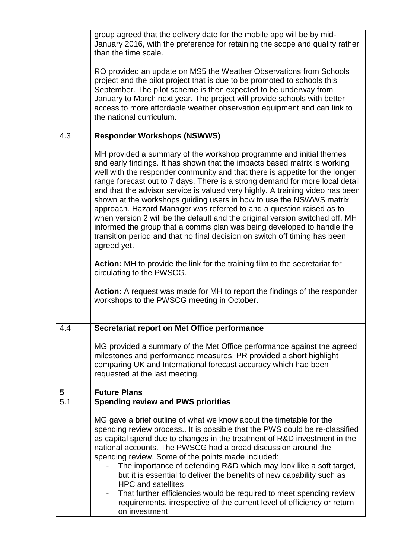|                  | group agreed that the delivery date for the mobile app will be by mid-<br>January 2016, with the preference for retaining the scope and quality rather<br>than the time scale.                                                                                                                                                                                                                                                                                                                                                                                                                                                                                                                                                                                                                        |  |  |
|------------------|-------------------------------------------------------------------------------------------------------------------------------------------------------------------------------------------------------------------------------------------------------------------------------------------------------------------------------------------------------------------------------------------------------------------------------------------------------------------------------------------------------------------------------------------------------------------------------------------------------------------------------------------------------------------------------------------------------------------------------------------------------------------------------------------------------|--|--|
|                  | RO provided an update on MS5 the Weather Observations from Schools<br>project and the pilot project that is due to be promoted to schools this<br>September. The pilot scheme is then expected to be underway from<br>January to March next year. The project will provide schools with better<br>access to more affordable weather observation equipment and can link to<br>the national curriculum.                                                                                                                                                                                                                                                                                                                                                                                                 |  |  |
| 4.3              | <b>Responder Workshops (NSWWS)</b>                                                                                                                                                                                                                                                                                                                                                                                                                                                                                                                                                                                                                                                                                                                                                                    |  |  |
|                  | MH provided a summary of the workshop programme and initial themes<br>and early findings. It has shown that the impacts based matrix is working<br>well with the responder community and that there is appetite for the longer<br>range forecast out to 7 days. There is a strong demand for more local detail<br>and that the advisor service is valued very highly. A training video has been<br>shown at the workshops guiding users in how to use the NSWWS matrix<br>approach. Hazard Manager was referred to and a question raised as to<br>when version 2 will be the default and the original version switched off. MH<br>informed the group that a comms plan was being developed to handle the<br>transition period and that no final decision on switch off timing has been<br>agreed yet. |  |  |
|                  | <b>Action:</b> MH to provide the link for the training film to the secretariat for<br>circulating to the PWSCG.                                                                                                                                                                                                                                                                                                                                                                                                                                                                                                                                                                                                                                                                                       |  |  |
|                  | Action: A request was made for MH to report the findings of the responder<br>workshops to the PWSCG meeting in October.                                                                                                                                                                                                                                                                                                                                                                                                                                                                                                                                                                                                                                                                               |  |  |
| 4.4              | Secretariat report on Met Office performance                                                                                                                                                                                                                                                                                                                                                                                                                                                                                                                                                                                                                                                                                                                                                          |  |  |
|                  | MG provided a summary of the Met Office performance against the agreed<br>milestones and performance measures. PR provided a short highlight<br>comparing UK and International forecast accuracy which had been<br>requested at the last meeting.                                                                                                                                                                                                                                                                                                                                                                                                                                                                                                                                                     |  |  |
| 5                | <b>Future Plans</b>                                                                                                                                                                                                                                                                                                                                                                                                                                                                                                                                                                                                                                                                                                                                                                                   |  |  |
| $\overline{5.1}$ | <b>Spending review and PWS priorities</b>                                                                                                                                                                                                                                                                                                                                                                                                                                                                                                                                                                                                                                                                                                                                                             |  |  |
|                  | MG gave a brief outline of what we know about the timetable for the<br>spending review process It is possible that the PWS could be re-classified<br>as capital spend due to changes in the treatment of R&D investment in the<br>national accounts. The PWSCG had a broad discussion around the<br>spending review. Some of the points made included:<br>The importance of defending R&D which may look like a soft target,<br>but it is essential to deliver the benefits of new capability such as<br><b>HPC and satellites</b><br>That further efficiencies would be required to meet spending review<br>requirements, irrespective of the current level of efficiency or return<br>on investment                                                                                                 |  |  |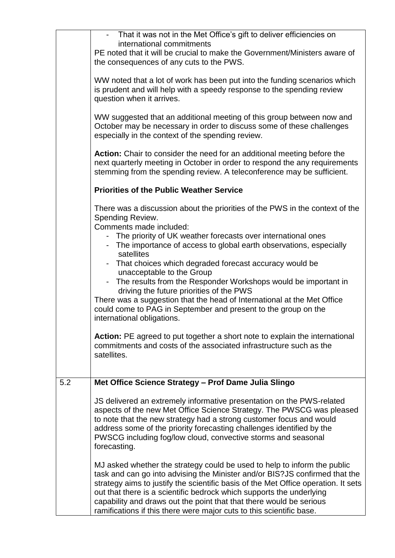|     | That it was not in the Met Office's gift to deliver efficiencies on<br>international commitments<br>PE noted that it will be crucial to make the Government/Ministers aware of<br>the consequences of any cuts to the PWS.                                                                                                                                                                                                                                           |  |  |  |
|-----|----------------------------------------------------------------------------------------------------------------------------------------------------------------------------------------------------------------------------------------------------------------------------------------------------------------------------------------------------------------------------------------------------------------------------------------------------------------------|--|--|--|
|     | WW noted that a lot of work has been put into the funding scenarios which<br>is prudent and will help with a speedy response to the spending review<br>question when it arrives.                                                                                                                                                                                                                                                                                     |  |  |  |
|     | WW suggested that an additional meeting of this group between now and<br>October may be necessary in order to discuss some of these challenges<br>especially in the context of the spending review.                                                                                                                                                                                                                                                                  |  |  |  |
|     | Action: Chair to consider the need for an additional meeting before the<br>next quarterly meeting in October in order to respond the any requirements<br>stemming from the spending review. A teleconference may be sufficient.                                                                                                                                                                                                                                      |  |  |  |
|     | <b>Priorities of the Public Weather Service</b>                                                                                                                                                                                                                                                                                                                                                                                                                      |  |  |  |
|     | There was a discussion about the priorities of the PWS in the context of the<br>Spending Review.<br>Comments made included:                                                                                                                                                                                                                                                                                                                                          |  |  |  |
|     | - The priority of UK weather forecasts over international ones<br>- The importance of access to global earth observations, especially<br>satellites                                                                                                                                                                                                                                                                                                                  |  |  |  |
|     | - That choices which degraded forecast accuracy would be<br>unacceptable to the Group<br>- The results from the Responder Workshops would be important in                                                                                                                                                                                                                                                                                                            |  |  |  |
|     | driving the future priorities of the PWS<br>There was a suggestion that the head of International at the Met Office<br>could come to PAG in September and present to the group on the<br>international obligations.                                                                                                                                                                                                                                                  |  |  |  |
|     | Action: PE agreed to put together a short note to explain the international<br>commitments and costs of the associated infrastructure such as the<br>satellites.                                                                                                                                                                                                                                                                                                     |  |  |  |
| 5.2 | Met Office Science Strategy - Prof Dame Julia Slingo                                                                                                                                                                                                                                                                                                                                                                                                                 |  |  |  |
|     | JS delivered an extremely informative presentation on the PWS-related<br>aspects of the new Met Office Science Strategy. The PWSCG was pleased<br>to note that the new strategy had a strong customer focus and would<br>address some of the priority forecasting challenges identified by the<br>PWSCG including fog/low cloud, convective storms and seasonal<br>forecasting.                                                                                      |  |  |  |
|     | MJ asked whether the strategy could be used to help to inform the public<br>task and can go into advising the Minister and/or BIS?JS confirmed that the<br>strategy aims to justify the scientific basis of the Met Office operation. It sets<br>out that there is a scientific bedrock which supports the underlying<br>capability and draws out the point that that there would be serious<br>ramifications if this there were major cuts to this scientific base. |  |  |  |